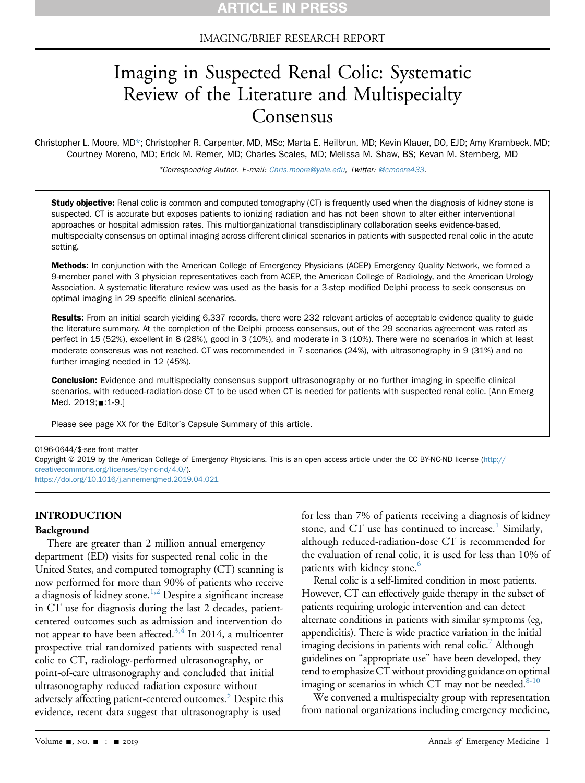### IMAGING/BRIEF RESEARCH REPORT

# Imaging in Suspected Renal Colic: Systematic Review of the Literature and Multispecialty Consensus

Christopher L. Moore, MD\*; Christopher R. Carpenter, MD, MSc; Marta E. Heilbrun, MD; Kevin Klauer, DO, EJD; Amy Krambeck, MD; Courtney Moreno, MD; Erick M. Remer, MD; Charles Scales, MD; Melissa M. Shaw, BS; Kevan M. Sternberg, MD

\*Corresponding Author. E-mail: [Chris.moore@yale.edu,](mailto:Chris.moore@yale.edu) Twitter: [@cmoore433](https://twitter.com/cmoore433).

Study objective: Renal colic is common and computed tomography (CT) is frequently used when the diagnosis of kidney stone is suspected. CT is accurate but exposes patients to ionizing radiation and has not been shown to alter either interventional approaches or hospital admission rates. This multiorganizational transdisciplinary collaboration seeks evidence-based, multispecialty consensus on optimal imaging across different clinical scenarios in patients with suspected renal colic in the acute setting.

Methods: In conjunction with the American College of Emergency Physicians (ACEP) Emergency Quality Network, we formed a 9-member panel with 3 physician representatives each from ACEP, the American College of Radiology, and the American Urology Association. A systematic literature review was used as the basis for a 3-step modified Delphi process to seek consensus on optimal imaging in 29 specific clinical scenarios.

Results: From an initial search yielding 6,337 records, there were 232 relevant articles of acceptable evidence quality to guide the literature summary. At the completion of the Delphi process consensus, out of the 29 scenarios agreement was rated as perfect in 15 (52%), excellent in 8 (28%), good in 3 (10%), and moderate in 3 (10%). There were no scenarios in which at least moderate consensus was not reached. CT was recommended in 7 scenarios (24%), with ultrasonography in 9 (31%) and no further imaging needed in 12 (45%).

Conclusion: Evidence and multispecialty consensus support ultrasonography or no further imaging in specific clinical scenarios, with reduced-radiation-dose CT to be used when CT is needed for patients with suspected renal colic. [Ann Emerg Med. 2019; :1-9.]

Please see page XX for the Editor's Capsule Summary of this article.

#### 0196-0644/\$-see front matter

Copyright © 2019 by the American College of Emergency Physicians. This is an open access article under the CC BY-NC-ND license ([http://](http://creativecommons.org/licenses/by-nc-nd/4.0/) [creativecommons.org/licenses/by-nc-nd/4.0/\)](http://creativecommons.org/licenses/by-nc-nd/4.0/). <https://doi.org/10.1016/j.annemergmed.2019.04.021>

#### INTRODUCTION

#### Background

There are greater than 2 million annual emergency department (ED) visits for suspected renal colic in the United States, and computed tomography (CT) scanning is now performed for more than 90% of patients who receive a diagnosis of kidney stone.<sup>[1,2](#page-8-0)</sup> Despite a significant increase in CT use for diagnosis during the last 2 decades, patientcentered outcomes such as admission and intervention do not appear to have been affected.<sup>3,4</sup> In 2014, a multicenter prospective trial randomized patients with suspected renal colic to CT, radiology-performed ultrasonography, or point-of-care ultrasonography and concluded that initial ultrasonography reduced radiation exposure without adversely affecting patient-centered outcomes.<sup>[5](#page-8-2)</sup> Despite this evidence, recent data suggest that ultrasonography is used

for less than 7% of patients receiving a diagnosis of kidney stone, and CT use has continued to increase.<sup>1</sup> Similarly, although reduced-radiation-dose CT is recommended for the evaluation of renal colic, it is used for less than 10% of patients with kidney stone.<sup>6</sup>

Renal colic is a self-limited condition in most patients. However, CT can effectively guide therapy in the subset of patients requiring urologic intervention and can detect alternate conditions in patients with similar symptoms (eg, appendicitis). There is wide practice variation in the initial imaging decisions in patients with renal colic[.7](#page-8-4) Although guidelines on "appropriate use" have been developed, they tend to emphasize CT without providing guidance on optimal imaging or scenarios in which CT may not be needed. $8-10$ 

We convened a multispecialty group with representation from national organizations including emergency medicine,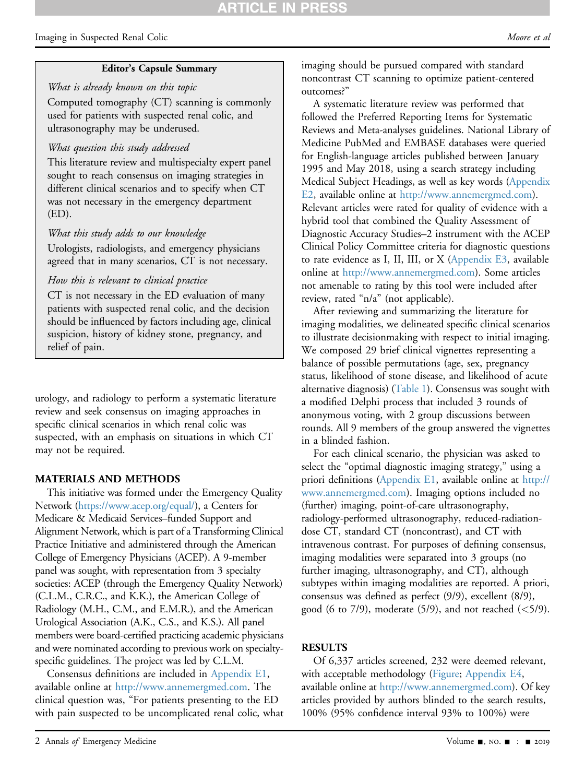#### Editor's Capsule Summary

What is already known on this topic Computed tomography (CT) scanning is commonly used for patients with suspected renal colic, and ultrasonography may be underused.

### What question this study addressed

This literature review and multispecialty expert panel sought to reach consensus on imaging strategies in different clinical scenarios and to specify when CT was not necessary in the emergency department (ED).

#### What this study adds to our knowledge

Urologists, radiologists, and emergency physicians agreed that in many scenarios, CT is not necessary.

### How this is relevant to clinical practice

CT is not necessary in the ED evaluation of many patients with suspected renal colic, and the decision should be influenced by factors including age, clinical suspicion, history of kidney stone, pregnancy, and relief of pain.

urology, and radiology to perform a systematic literature review and seek consensus on imaging approaches in specific clinical scenarios in which renal colic was suspected, with an emphasis on situations in which CT may not be required.

### MATERIALS AND METHODS

This initiative was formed under the Emergency Quality Network [\(https://www.acep.org/equal/\)](https://www.acep.org/equal/), a Centers for Medicare & Medicaid Services–funded Support and Alignment Network, which is part of a Transforming Clinical Practice Initiative and administered through the American College of Emergency Physicians (ACEP). A 9-member panel was sought, with representation from 3 specialty societies: ACEP (through the Emergency Quality Network) (C.L.M., C.R.C., and K.K.), the American College of Radiology (M.H., C.M., and E.M.R.), and the American Urological Association (A.K., C.S., and K.S.). All panel members were board-certified practicing academic physicians and were nominated according to previous work on specialtyspecific guidelines. The project was led by C.L.M.

Consensus definitions are included in Appendix E1, available online at [http://www.annemergmed.com.](http://www.annemergmed.com) The clinical question was, "For patients presenting to the ED with pain suspected to be uncomplicated renal colic, what

A systematic literature review was performed that followed the Preferred Reporting Items for Systematic Reviews and Meta-analyses guidelines. National Library of Medicine PubMed and EMBASE databases were queried for English-language articles published between January 1995 and May 2018, using a search strategy including Medical Subject Headings, as well as key words (Appendix E2, available online at <http://www.annemergmed.com>). Relevant articles were rated for quality of evidence with a hybrid tool that combined the Quality Assessment of Diagnostic Accuracy Studies–2 instrument with the ACEP Clinical Policy Committee criteria for diagnostic questions to rate evidence as I, II, III, or  $X$  (Appendix E3, available online at [http://www.annemergmed.com\)](http://www.annemergmed.com). Some articles not amenable to rating by this tool were included after review, rated "n/a" (not applicable).

After reviewing and summarizing the literature for imaging modalities, we delineated specific clinical scenarios to illustrate decisionmaking with respect to initial imaging. We composed 29 brief clinical vignettes representing a balance of possible permutations (age, sex, pregnancy status, likelihood of stone disease, and likelihood of acute alternative diagnosis) ([Table 1\)](#page-2-0). Consensus was sought with a modified Delphi process that included 3 rounds of anonymous voting, with 2 group discussions between rounds. All 9 members of the group answered the vignettes in a blinded fashion.

For each clinical scenario, the physician was asked to select the "optimal diagnostic imaging strategy," using a priori definitions (Appendix E1, available online at [http://](mailto:http://www.annemergmed.com) [www.annemergmed.com](mailto:http://www.annemergmed.com)). Imaging options included no (further) imaging, point-of-care ultrasonography, radiology-performed ultrasonography, reduced-radiationdose CT, standard CT (noncontrast), and CT with intravenous contrast. For purposes of defining consensus, imaging modalities were separated into 3 groups (no further imaging, ultrasonography, and CT), although subtypes within imaging modalities are reported. A priori, consensus was defined as perfect (9/9), excellent (8/9), good (6 to 7/9), moderate (5/9), and not reached ( $\lt$ 5/9).

#### **RESULTS**

Of 6,337 articles screened, 232 were deemed relevant, with acceptable methodology ([Figure](#page-5-0); Appendix E4, available online at [http://www.annemergmed.com\)](http://www.annemergmed.com). Of key articles provided by authors blinded to the search results, 100% (95% confidence interval 93% to 100%) were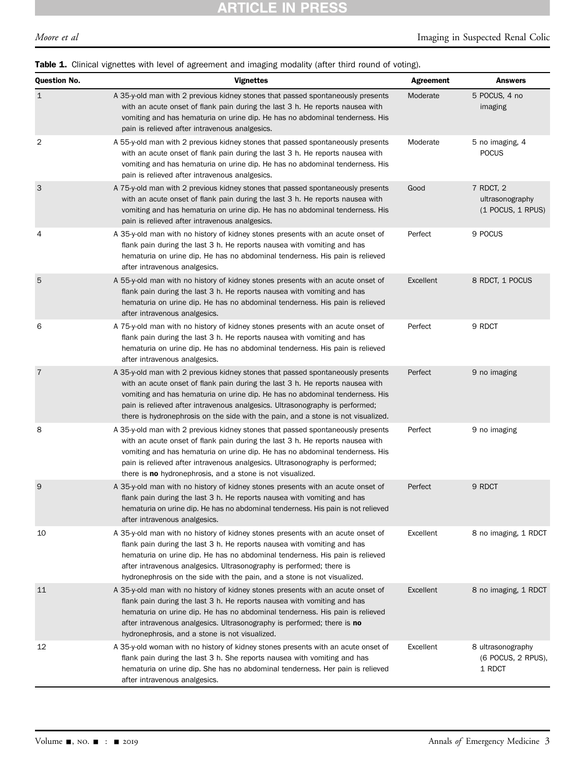<span id="page-2-0"></span>

|  |  |  |  | Table 1. Clinical vignettes with level of agreement and imaging modality (after third round of voting). |
|--|--|--|--|---------------------------------------------------------------------------------------------------------|
|--|--|--|--|---------------------------------------------------------------------------------------------------------|

| Question No.   | <b>Vignettes</b>                                                                                                                                                                                                                                                                                                                                                                                                      | <b>Agreement</b> | <b>Answers</b>                                      |
|----------------|-----------------------------------------------------------------------------------------------------------------------------------------------------------------------------------------------------------------------------------------------------------------------------------------------------------------------------------------------------------------------------------------------------------------------|------------------|-----------------------------------------------------|
| $\mathbf{1}$   | A 35-y-old man with 2 previous kidney stones that passed spontaneously presents<br>with an acute onset of flank pain during the last 3 h. He reports nausea with<br>vomiting and has hematuria on urine dip. He has no abdominal tenderness. His<br>pain is relieved after intravenous analgesics.                                                                                                                    | Moderate         | 5 POCUS, 4 no<br>imaging                            |
| $\overline{2}$ | A 55-y-old man with 2 previous kidney stones that passed spontaneously presents<br>with an acute onset of flank pain during the last 3 h. He reports nausea with<br>vomiting and has hematuria on urine dip. He has no abdominal tenderness. His<br>pain is relieved after intravenous analgesics.                                                                                                                    | Moderate         | 5 no imaging, 4<br><b>POCUS</b>                     |
| 3              | A 75-y-old man with 2 previous kidney stones that passed spontaneously presents<br>with an acute onset of flank pain during the last 3 h. He reports nausea with<br>vomiting and has hematuria on urine dip. He has no abdominal tenderness. His<br>pain is relieved after intravenous analgesics.                                                                                                                    | Good             | 7 RDCT, 2<br>ultrasonography<br>$(1$ POCUS, 1 RPUS) |
| 4              | A 35-y-old man with no history of kidney stones presents with an acute onset of<br>flank pain during the last 3 h. He reports nausea with vomiting and has<br>hematuria on urine dip. He has no abdominal tenderness. His pain is relieved<br>after intravenous analgesics.                                                                                                                                           | Perfect          | 9 POCUS                                             |
| 5              | A 55-y-old man with no history of kidney stones presents with an acute onset of<br>flank pain during the last 3 h. He reports nausea with vomiting and has<br>hematuria on urine dip. He has no abdominal tenderness. His pain is relieved<br>after intravenous analgesics.                                                                                                                                           | Excellent        | 8 RDCT, 1 POCUS                                     |
| 6              | A 75-y-old man with no history of kidney stones presents with an acute onset of<br>flank pain during the last 3 h. He reports nausea with vomiting and has<br>hematuria on urine dip. He has no abdominal tenderness. His pain is relieved<br>after intravenous analgesics.                                                                                                                                           | Perfect          | 9 RDCT                                              |
| $\overline{7}$ | A 35-y-old man with 2 previous kidney stones that passed spontaneously presents<br>with an acute onset of flank pain during the last 3 h. He reports nausea with<br>vomiting and has hematuria on urine dip. He has no abdominal tenderness. His<br>pain is relieved after intravenous analgesics. Ultrasonography is performed;<br>there is hydronephrosis on the side with the pain, and a stone is not visualized. | Perfect          | 9 no imaging                                        |
| 8              | A 35-y-old man with 2 previous kidney stones that passed spontaneously presents<br>with an acute onset of flank pain during the last 3 h. He reports nausea with<br>vomiting and has hematuria on urine dip. He has no abdominal tenderness. His<br>pain is relieved after intravenous analgesics. Ultrasonography is performed;<br>there is <b>no</b> hydronephrosis, and a stone is not visualized.                 | Perfect          | 9 no imaging                                        |
| 9              | A 35-y-old man with no history of kidney stones presents with an acute onset of<br>flank pain during the last 3 h. He reports nausea with vomiting and has<br>hematuria on urine dip. He has no abdominal tenderness. His pain is not relieved<br>after intravenous analgesics.                                                                                                                                       | Perfect          | 9 RDCT                                              |
| 10             | A 35-y-old man with no history of kidney stones presents with an acute onset of<br>flank pain during the last 3 h. He reports nausea with vomiting and has<br>hematuria on urine dip. He has no abdominal tenderness. His pain is relieved<br>after intravenous analgesics. Ultrasonography is performed; there is<br>hydronephrosis on the side with the pain, and a stone is not visualized.                        | Excellent        | 8 no imaging, 1 RDCT                                |
| 11             | A 35-y-old man with no history of kidney stones presents with an acute onset of<br>flank pain during the last 3 h. He reports nausea with vomiting and has<br>hematuria on urine dip. He has no abdominal tenderness. His pain is relieved<br>after intravenous analgesics. Ultrasonography is performed; there is no<br>hydronephrosis, and a stone is not visualized.                                               | Excellent        | 8 no imaging, 1 RDCT                                |
| 12             | A 35-y-old woman with no history of kidney stones presents with an acute onset of<br>flank pain during the last 3 h. She reports nausea with vomiting and has<br>hematuria on urine dip. She has no abdominal tenderness. Her pain is relieved<br>after intravenous analgesics.                                                                                                                                       | Excellent        | 8 ultrasonography<br>(6 POCUS, 2 RPUS),<br>1 RDCT   |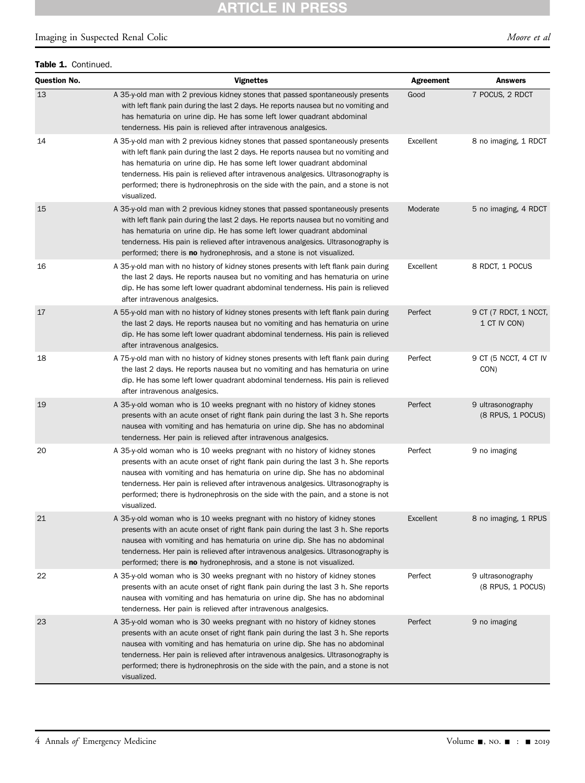# **ARTICLE IN PRESS**

### Imaging in Suspected Renal Colic development of the Moore et al.

#### Table 1. Continued.

| <b>Question No.</b> | <b>Vignettes</b>                                                                                                                                                                                                                                                                                                                                                                                                                       | <b>Agreement</b> | <b>Answers</b>                         |
|---------------------|----------------------------------------------------------------------------------------------------------------------------------------------------------------------------------------------------------------------------------------------------------------------------------------------------------------------------------------------------------------------------------------------------------------------------------------|------------------|----------------------------------------|
| 13                  | A 35-y-old man with 2 previous kidney stones that passed spontaneously presents<br>with left flank pain during the last 2 days. He reports nausea but no vomiting and<br>has hematuria on urine dip. He has some left lower quadrant abdominal<br>tenderness. His pain is relieved after intravenous analgesics.                                                                                                                       | Good             | 7 POCUS, 2 RDCT                        |
| 14                  | A 35-y-old man with 2 previous kidney stones that passed spontaneously presents<br>with left flank pain during the last 2 days. He reports nausea but no vomiting and<br>has hematuria on urine dip. He has some left lower quadrant abdominal<br>tenderness. His pain is relieved after intravenous analgesics. Ultrasonography is<br>performed; there is hydronephrosis on the side with the pain, and a stone is not<br>visualized. | Excellent        | 8 no imaging, 1 RDCT                   |
| 15                  | A 35-y-old man with 2 previous kidney stones that passed spontaneously presents<br>with left flank pain during the last 2 days. He reports nausea but no vomiting and<br>has hematuria on urine dip. He has some left lower quadrant abdominal<br>tenderness. His pain is relieved after intravenous analgesics. Ultrasonography is<br>performed; there is no hydronephrosis, and a stone is not visualized.                           | Moderate         | 5 no imaging, 4 RDCT                   |
| 16                  | A 35-y-old man with no history of kidney stones presents with left flank pain during<br>the last 2 days. He reports nausea but no vomiting and has hematuria on urine<br>dip. He has some left lower quadrant abdominal tenderness. His pain is relieved<br>after intravenous analgesics.                                                                                                                                              | Excellent        | 8 RDCT, 1 POCUS                        |
| 17                  | A 55-y-old man with no history of kidney stones presents with left flank pain during<br>the last 2 days. He reports nausea but no vomiting and has hematuria on urine<br>dip. He has some left lower quadrant abdominal tenderness. His pain is relieved<br>after intravenous analgesics.                                                                                                                                              | Perfect          | 9 CT (7 RDCT, 1 NCCT,<br>1 CT IV CON)  |
| 18                  | A 75-y-old man with no history of kidney stones presents with left flank pain during<br>the last 2 days. He reports nausea but no vomiting and has hematuria on urine<br>dip. He has some left lower quadrant abdominal tenderness. His pain is relieved<br>after intravenous analgesics.                                                                                                                                              | Perfect          | 9 CT (5 NCCT, 4 CT IV<br>CON)          |
| 19                  | A 35-y-old woman who is 10 weeks pregnant with no history of kidney stones<br>presents with an acute onset of right flank pain during the last 3 h. She reports<br>nausea with vomiting and has hematuria on urine dip. She has no abdominal<br>tenderness. Her pain is relieved after intravenous analgesics.                                                                                                                         | Perfect          | 9 ultrasonography<br>(8 RPUS, 1 POCUS) |
| 20                  | A 35-y-old woman who is 10 weeks pregnant with no history of kidney stones<br>presents with an acute onset of right flank pain during the last 3 h. She reports<br>nausea with vomiting and has hematuria on urine dip. She has no abdominal<br>tenderness. Her pain is relieved after intravenous analgesics. Ultrasonography is<br>performed; there is hydronephrosis on the side with the pain, and a stone is not<br>visualized.   | Perfect          | 9 no imaging                           |
| 21                  | A 35-y-old woman who is 10 weeks pregnant with no history of kidney stones<br>presents with an acute onset of right flank pain during the last 3 h. She reports<br>nausea with vomiting and has hematuria on urine dip. She has no abdominal<br>tenderness. Her pain is relieved after intravenous analgesics. Ultrasonography is<br>performed; there is no hydronephrosis, and a stone is not visualized.                             | Excellent        | 8 no imaging, 1 RPUS                   |
| 22                  | A 35-y-old woman who is 30 weeks pregnant with no history of kidney stones<br>presents with an acute onset of right flank pain during the last 3 h. She reports<br>nausea with vomiting and has hematuria on urine dip. She has no abdominal<br>tenderness. Her pain is relieved after intravenous analgesics.                                                                                                                         | Perfect          | 9 ultrasonography<br>(8 RPUS, 1 POCUS) |
| 23                  | A 35-y-old woman who is 30 weeks pregnant with no history of kidney stones<br>presents with an acute onset of right flank pain during the last 3 h. She reports<br>nausea with vomiting and has hematuria on urine dip. She has no abdominal<br>tenderness. Her pain is relieved after intravenous analgesics. Ultrasonography is<br>performed; there is hydronephrosis on the side with the pain, and a stone is not<br>visualized.   | Perfect          | 9 no imaging                           |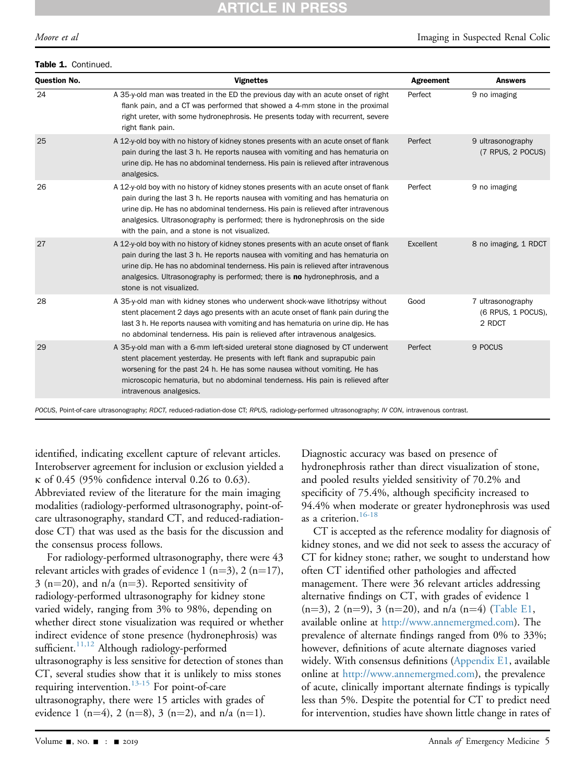# RTICLE IN

#### Table 1. Continued.

| <b>Question No.</b> | <b>Vignettes</b>                                                                                                                                                                                                                                                                                                                                                                               | Agreement | <b>Answers</b>                                    |
|---------------------|------------------------------------------------------------------------------------------------------------------------------------------------------------------------------------------------------------------------------------------------------------------------------------------------------------------------------------------------------------------------------------------------|-----------|---------------------------------------------------|
| 24                  | A 35-y-old man was treated in the ED the previous day with an acute onset of right<br>flank pain, and a CT was performed that showed a 4-mm stone in the proximal<br>right ureter, with some hydronephrosis. He presents today with recurrent, severe<br>right flank pain.                                                                                                                     | Perfect   | 9 no imaging                                      |
| 25                  | A 12-y-old boy with no history of kidney stones presents with an acute onset of flank<br>pain during the last 3 h. He reports nausea with vomiting and has hematuria on<br>urine dip. He has no abdominal tenderness. His pain is relieved after intravenous<br>analgesics.                                                                                                                    | Perfect   | 9 ultrasonography<br>(7 RPUS, 2 POCUS)            |
| 26                  | A 12-y-old boy with no history of kidney stones presents with an acute onset of flank<br>pain during the last 3 h. He reports nausea with vomiting and has hematuria on<br>urine dip. He has no abdominal tenderness. His pain is relieved after intravenous<br>analgesics. Ultrasonography is performed; there is hydronephrosis on the side<br>with the pain, and a stone is not visualized. | Perfect   | 9 no imaging                                      |
| 27                  | A 12-y-old boy with no history of kidney stones presents with an acute onset of flank<br>pain during the last 3 h. He reports nausea with vomiting and has hematuria on<br>urine dip. He has no abdominal tenderness. His pain is relieved after intravenous<br>analgesics. Ultrasonography is performed; there is <b>no</b> hydronephrosis, and a<br>stone is not visualized.                 | Excellent | 8 no imaging, 1 RDCT                              |
| 28                  | A 35-y-old man with kidney stones who underwent shock-wave lithotripsy without<br>stent placement 2 days ago presents with an acute onset of flank pain during the<br>last 3 h. He reports nausea with vomiting and has hematuria on urine dip. He has<br>no abdominal tenderness. His pain is relieved after intravenous analgesics.                                                          | Good      | 7 ultrasonography<br>(6 RPUS, 1 POCUS),<br>2 RDCT |
| 29                  | A 35-y-old man with a 6-mm left-sided ureteral stone diagnosed by CT underwent<br>stent placement yesterday. He presents with left flank and suprapubic pain<br>worsening for the past 24 h. He has some nausea without vomiting. He has<br>microscopic hematuria, but no abdominal tenderness. His pain is relieved after<br>intravenous analgesics.                                          | Perfect   | 9 POCUS                                           |

POCUS, Point-of-care ultrasonography; RDCT, reduced-radiation-dose CT; RPUS, radiology-performed ultrasonography; IV CON, intravenous contrast.

identified, indicating excellent capture of relevant articles. Interobserver agreement for inclusion or exclusion yielded a  $\kappa$  of 0.45 (95% confidence interval 0.26 to 0.63).

Abbreviated review of the literature for the main imaging modalities (radiology-performed ultrasonography, point-ofcare ultrasonography, standard CT, and reduced-radiationdose CT) that was used as the basis for the discussion and the consensus process follows.

For radiology-performed ultrasonography, there were 43 relevant articles with grades of evidence 1 (n=3), 2 (n=17),  $3$  (n=20), and n/a (n=3). Reported sensitivity of radiology-performed ultrasonography for kidney stone varied widely, ranging from 3% to 98%, depending on whether direct stone visualization was required or whether indirect evidence of stone presence (hydronephrosis) was sufficient. $^{11,12}$  Although radiology-performed ultrasonography is less sensitive for detection of stones than CT, several studies show that it is unlikely to miss stones requiring intervention. $13-15$  For point-of-care ultrasonography, there were 15 articles with grades of evidence 1 (n=4), 2 (n=8), 3 (n=2), and n/a (n=1).

Diagnostic accuracy was based on presence of hydronephrosis rather than direct visualization of stone, and pooled results yielded sensitivity of 70.2% and specificity of 75.4%, although specificity increased to 94.4% when moderate or greater hydronephrosis was used as a criterion.<sup>[16-18](#page-8-8)</sup>

CT is accepted as the reference modality for diagnosis of kidney stones, and we did not seek to assess the accuracy of CT for kidney stone; rather, we sought to understand how often CT identified other pathologies and affected management. There were 36 relevant articles addressing alternative findings on CT, with grades of evidence 1  $(n=3)$ , 2 (n=9), 3 (n=20), and n/a (n=4) (Table E1, available online at [http://www.annemergmed.com\)](http://www.annemergmed.com). The prevalence of alternate findings ranged from 0% to 33%; however, definitions of acute alternate diagnoses varied widely. With consensus definitions (Appendix E1, available online at [http://www.annemergmed.com\)](http://www.annemergmed.com), the prevalence of acute, clinically important alternate findings is typically less than 5%. Despite the potential for CT to predict need for intervention, studies have shown little change in rates of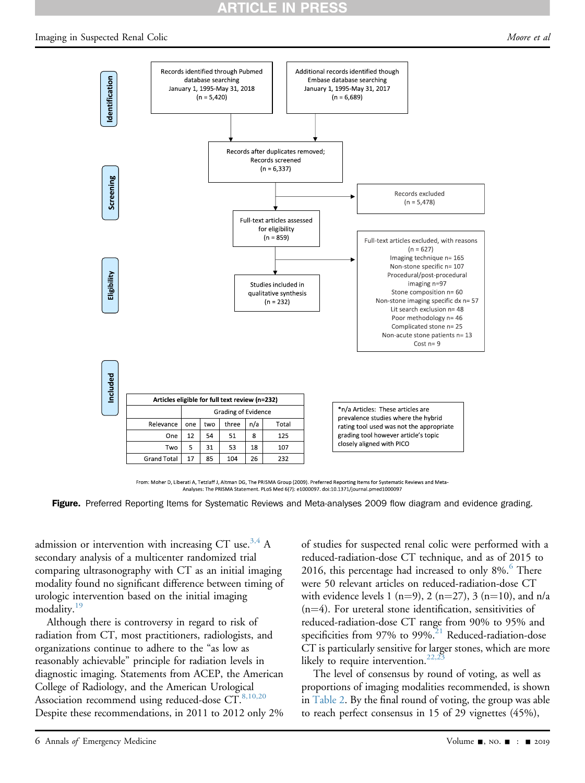# **RTICLE IN PRESS**

#### <span id="page-5-0"></span>Imaging in Suspected Renal Colic de Article of the Suspected Renal of the Moore et al.



From: Moher D, Liberati A, Tetzlaff J, Altman DG, The PRISMA Group (2009). Preferred Reporting Items for Systematic Reviews and Meta-Analyses: The PRISMA Statement. PLoS Med 6(7): e1000097. doi:10.1371/journal.pmed1000097

Figure. Preferred Reporting Items for Systematic Reviews and Meta-analyses 2009 flow diagram and evidence grading.

admission or intervention with increasing CT use.<sup>3,4</sup> A secondary analysis of a multicenter randomized trial comparing ultrasonography with CT as an initial imaging modality found no significant difference between timing of urologic intervention based on the initial imaging modality.<sup>[19](#page-8-9)</sup>

Although there is controversy in regard to risk of radiation from CT, most practitioners, radiologists, and organizations continue to adhere to the "as low as reasonably achievable" principle for radiation levels in diagnostic imaging. Statements from ACEP, the American College of Radiology, and the American Urological Association recommend using reduced-dose  $\text{CT}^{8,10,20}$  $\text{CT}^{8,10,20}$  $\text{CT}^{8,10,20}$ Despite these recommendations, in 2011 to 2012 only 2%

of studies for suspected renal colic were performed with a reduced-radiation-dose CT technique, and as of 2015 to 201[6](#page-8-3), this percentage had increased to only  $8\%$ .<sup>6</sup> There were 50 relevant articles on reduced-radiation-dose CT with evidence levels 1 (n=9), 2 (n=27), 3 (n=10), and n/a  $(n=4)$ . For ureteral stone identification, sensitivities of reduced-radiation-dose CT range from 90% to 95% and specificities from  $97\%$  to  $99\%$ .<sup>21</sup> Reduced-radiation-dose CT is particularly sensitive for larger stones, which are more likely to require intervention.<sup>22,2</sup>

The level of consensus by round of voting, as well as proportions of imaging modalities recommended, is shown in [Table 2.](#page-6-0) By the final round of voting, the group was able to reach perfect consensus in 15 of 29 vignettes (45%),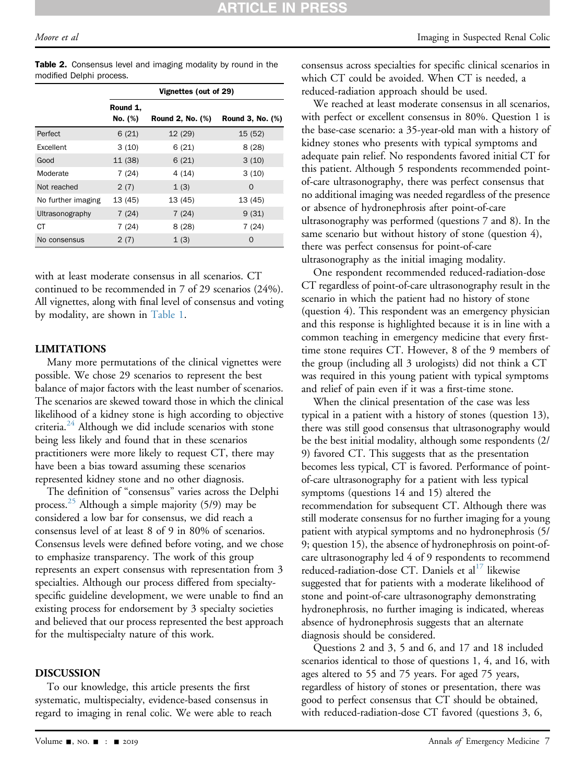<span id="page-6-0"></span>

| <b>Table 2.</b> Consensus level and imaging modality by round in the |  |  |  |  |
|----------------------------------------------------------------------|--|--|--|--|
| modified Delphi process.                                             |  |  |  |  |

|                    | Vignettes (out of 29) |                         |                  |  |  |
|--------------------|-----------------------|-------------------------|------------------|--|--|
|                    | Round 1,<br>No. (%)   | <b>Round 2, No. (%)</b> | Round 3, No. (%) |  |  |
| Perfect            | 6(21)                 | 12 (29)                 | 15(52)           |  |  |
| Excellent          | 3(10)                 | 6(21)                   | 8(28)            |  |  |
| Good               | 11 (38)               | 6(21)                   | 3(10)            |  |  |
| Moderate           | 7(24)                 | 4(14)                   | 3(10)            |  |  |
| Not reached        | 2(7)                  | 1(3)                    | $\Omega$         |  |  |
| No further imaging | 13 (45)               | 13 (45)                 | 13 (45)          |  |  |
| Ultrasonography    | 7(24)                 | 7(24)                   | 9(31)            |  |  |
| СT                 | 7(24)                 | 8(28)                   | 7(24)            |  |  |
| No consensus       | 2(7)                  | 1(3)                    | $\Omega$         |  |  |

with at least moderate consensus in all scenarios. CT continued to be recommended in 7 of 29 scenarios (24%). All vignettes, along with final level of consensus and voting by modality, are shown in [Table 1](#page-2-0).

### LIMITATIONS

Many more permutations of the clinical vignettes were possible. We chose 29 scenarios to represent the best balance of major factors with the least number of scenarios. The scenarios are skewed toward those in which the clinical likelihood of a kidney stone is high according to objective criteria. $^{24}$  $^{24}$  $^{24}$  Although we did include scenarios with stone being less likely and found that in these scenarios practitioners were more likely to request CT, there may have been a bias toward assuming these scenarios represented kidney stone and no other diagnosis.

The definition of "consensus" varies across the Delphi process.<sup>[25](#page-8-13)</sup> Although a simple majority (5/9) may be considered a low bar for consensus, we did reach a consensus level of at least 8 of 9 in 80% of scenarios. Consensus levels were defined before voting, and we chose to emphasize transparency. The work of this group represents an expert consensus with representation from 3 specialties. Although our process differed from specialtyspecific guideline development, we were unable to find an existing process for endorsement by 3 specialty societies and believed that our process represented the best approach for the multispecialty nature of this work.

#### DISCUSSION

To our knowledge, this article presents the first systematic, multispecialty, evidence-based consensus in regard to imaging in renal colic. We were able to reach

We reached at least moderate consensus in all scenarios, with perfect or excellent consensus in 80%. Question 1 is the base-case scenario: a 35-year-old man with a history of kidney stones who presents with typical symptoms and adequate pain relief. No respondents favored initial CT for this patient. Although 5 respondents recommended pointof-care ultrasonography, there was perfect consensus that no additional imaging was needed regardless of the presence or absence of hydronephrosis after point-of-care ultrasonography was performed (questions 7 and 8). In the same scenario but without history of stone (question 4), there was perfect consensus for point-of-care ultrasonography as the initial imaging modality.

One respondent recommended reduced-radiation-dose CT regardless of point-of-care ultrasonography result in the scenario in which the patient had no history of stone (question 4). This respondent was an emergency physician and this response is highlighted because it is in line with a common teaching in emergency medicine that every firsttime stone requires CT. However, 8 of the 9 members of the group (including all 3 urologists) did not think a CT was required in this young patient with typical symptoms and relief of pain even if it was a first-time stone.

When the clinical presentation of the case was less typical in a patient with a history of stones (question 13), there was still good consensus that ultrasonography would be the best initial modality, although some respondents (2/ 9) favored CT. This suggests that as the presentation becomes less typical, CT is favored. Performance of pointof-care ultrasonography for a patient with less typical symptoms (questions 14 and 15) altered the recommendation for subsequent CT. Although there was still moderate consensus for no further imaging for a young patient with atypical symptoms and no hydronephrosis (5/ 9; question 15), the absence of hydronephrosis on point-ofcare ultrasonography led 4 of 9 respondents to recommend reduced-radiation-dose CT. Daniels et al<sup>[17](#page-8-14)</sup> likewise suggested that for patients with a moderate likelihood of stone and point-of-care ultrasonography demonstrating hydronephrosis, no further imaging is indicated, whereas absence of hydronephrosis suggests that an alternate diagnosis should be considered.

Questions 2 and 3, 5 and 6, and 17 and 18 included scenarios identical to those of questions 1, 4, and 16, with ages altered to 55 and 75 years. For aged 75 years, regardless of history of stones or presentation, there was good to perfect consensus that CT should be obtained, with reduced-radiation-dose CT favored (questions 3, 6,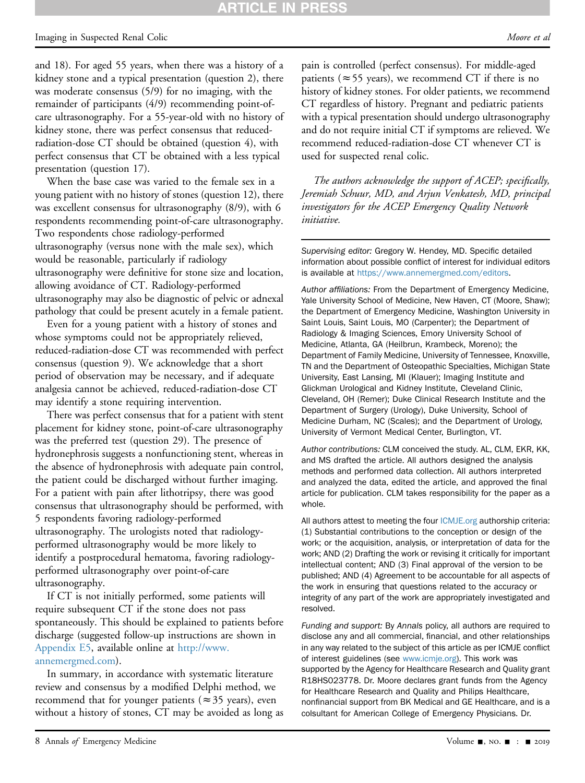# **ARTICLE IN PRESS**

#### Imaging in Suspected Renal Colic development of the Colic Moore et al. Moore et al.

and 18). For aged 55 years, when there was a history of a kidney stone and a typical presentation (question 2), there was moderate consensus (5/9) for no imaging, with the remainder of participants (4/9) recommending point-ofcare ultrasonography. For a 55-year-old with no history of kidney stone, there was perfect consensus that reducedradiation-dose CT should be obtained (question 4), with perfect consensus that CT be obtained with a less typical presentation (question 17).

When the base case was varied to the female sex in a young patient with no history of stones (question 12), there was excellent consensus for ultrasonography (8/9), with 6 respondents recommending point-of-care ultrasonography. Two respondents chose radiology-performed ultrasonography (versus none with the male sex), which would be reasonable, particularly if radiology ultrasonography were definitive for stone size and location, allowing avoidance of CT. Radiology-performed ultrasonography may also be diagnostic of pelvic or adnexal pathology that could be present acutely in a female patient.

Even for a young patient with a history of stones and whose symptoms could not be appropriately relieved, reduced-radiation-dose CT was recommended with perfect consensus (question 9). We acknowledge that a short period of observation may be necessary, and if adequate analgesia cannot be achieved, reduced-radiation-dose CT may identify a stone requiring intervention.

There was perfect consensus that for a patient with stent placement for kidney stone, point-of-care ultrasonography was the preferred test (question 29). The presence of hydronephrosis suggests a nonfunctioning stent, whereas in the absence of hydronephrosis with adequate pain control, the patient could be discharged without further imaging. For a patient with pain after lithotripsy, there was good consensus that ultrasonography should be performed, with 5 respondents favoring radiology-performed ultrasonography. The urologists noted that radiologyperformed ultrasonography would be more likely to identify a postprocedural hematoma, favoring radiologyperformed ultrasonography over point-of-care ultrasonography.

If CT is not initially performed, some patients will require subsequent CT if the stone does not pass spontaneously. This should be explained to patients before discharge (suggested follow-up instructions are shown in Appendix E5, available online at [http://www.](http://www.annemergmed.com) [annemergmed.com](http://www.annemergmed.com)).

In summary, in accordance with systematic literature review and consensus by a modified Delphi method, we recommend that for younger patients ( $\approx$  35 years), even without a history of stones, CT may be avoided as long as pain is controlled (perfect consensus). For middle-aged patients ( $\approx$  55 years), we recommend CT if there is no history of kidney stones. For older patients, we recommend CT regardless of history. Pregnant and pediatric patients with a typical presentation should undergo ultrasonography and do not require initial CT if symptoms are relieved. We recommend reduced-radiation-dose CT whenever CT is used for suspected renal colic.

The authors acknowledge the support of ACEP; specifically, Jeremiah Schuur, MD, and Arjun Venkatesh, MD, principal investigators for the ACEP Emergency Quality Network initiative.

Supervising editor: Gregory W. Hendey, MD. Specific detailed information about possible conflict of interest for individual editors is available at [https://www.annemergmed.com/editors.](https://www.annemergmed.com/editors)

Author affiliations: From the Department of Emergency Medicine, Yale University School of Medicine, New Haven, CT (Moore, Shaw); the Department of Emergency Medicine, Washington University in Saint Louis, Saint Louis, MO (Carpenter); the Department of Radiology & Imaging Sciences, Emory University School of Medicine, Atlanta, GA (Heilbrun, Krambeck, Moreno); the Department of Family Medicine, University of Tennessee, Knoxville, TN and the Department of Osteopathic Specialties, Michigan State University, East Lansing, MI (Klauer); Imaging Institute and Glickman Urological and Kidney Institute, Cleveland Clinic, Cleveland, OH (Remer); Duke Clinical Research Institute and the Department of Surgery (Urology), Duke University, School of Medicine Durham, NC (Scales); and the Department of Urology, University of Vermont Medical Center, Burlington, VT.

Author contributions: CLM conceived the study. AL, CLM, EKR, KK, and MS drafted the article. All authors designed the analysis methods and performed data collection. All authors interpreted and analyzed the data, edited the article, and approved the final article for publication. CLM takes responsibility for the paper as a whole.

All authors attest to meeting the four [ICMJE.org](http://ICMJE.org) authorship criteria: (1) Substantial contributions to the conception or design of the work; or the acquisition, analysis, or interpretation of data for the work; AND (2) Drafting the work or revising it critically for important intellectual content; AND (3) Final approval of the version to be published; AND (4) Agreement to be accountable for all aspects of the work in ensuring that questions related to the accuracy or integrity of any part of the work are appropriately investigated and resolved.

Funding and support: By Annals policy, all authors are required to disclose any and all commercial, financial, and other relationships in any way related to the subject of this article as per ICMJE conflict of interest guidelines (see [www.icmje.org\)](http://www.icmje.org). This work was supported by the Agency for Healthcare Research and Quality grant R18HS023778. Dr. Moore declares grant funds from the Agency for Healthcare Research and Quality and Philips Healthcare, nonfinancial support from BK Medical and GE Healthcare, and is a colsultant for American College of Emergency Physicians. Dr.